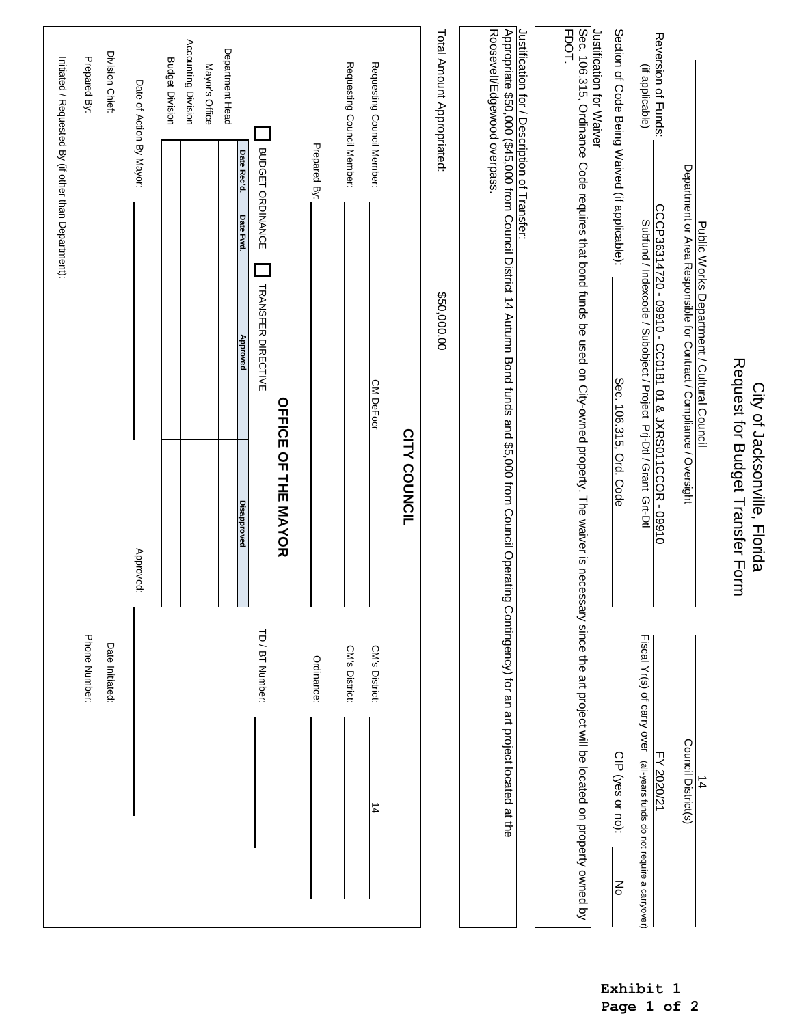|                                                                                                                                                                                                      |                            |                                                                   |                                                                                                                                                              |                  | Initiated / Requested By (if other than Department): |                     |
|------------------------------------------------------------------------------------------------------------------------------------------------------------------------------------------------------|----------------------------|-------------------------------------------------------------------|--------------------------------------------------------------------------------------------------------------------------------------------------------------|------------------|------------------------------------------------------|---------------------|
|                                                                                                                                                                                                      | Phone Number:              |                                                                   |                                                                                                                                                              |                  |                                                      | Prepared By:        |
|                                                                                                                                                                                                      | Date Initiated:            | $\mathbf{I}$                                                      |                                                                                                                                                              |                  |                                                      | Division Chief:     |
|                                                                                                                                                                                                      |                            | Approved:                                                         |                                                                                                                                                              |                  | Date of Action By Mayor:                             |                     |
|                                                                                                                                                                                                      |                            |                                                                   |                                                                                                                                                              |                  | <b>Budget Division</b>                               |                     |
|                                                                                                                                                                                                      |                            |                                                                   |                                                                                                                                                              |                  |                                                      | Accounting Division |
|                                                                                                                                                                                                      |                            |                                                                   |                                                                                                                                                              |                  | Mayor's Office                                       |                     |
|                                                                                                                                                                                                      |                            | <b>Disapproved</b>                                                | Approved                                                                                                                                                     | Date Fwd.        | Date Rec'd.                                          | Department Head     |
|                                                                                                                                                                                                      | TD / BT Number:            |                                                                   | <b>TRANSFER DIRECTIVE</b>                                                                                                                                    | BUDGET ORDINANCE |                                                      |                     |
|                                                                                                                                                                                                      |                            | <b>OFFICE OF THE MAYOR</b>                                        |                                                                                                                                                              |                  |                                                      |                     |
|                                                                                                                                                                                                      | Ordinance:                 | $\mathbf{I}$                                                      |                                                                                                                                                              |                  | Prepared By:                                         |                     |
|                                                                                                                                                                                                      | CM's District:             |                                                                   |                                                                                                                                                              |                  | Requesting Council Member:                           |                     |
| 14                                                                                                                                                                                                   | CM's District:             |                                                                   | <b>CM DeFoor</b>                                                                                                                                             |                  | Requesting Council Member:                           |                     |
|                                                                                                                                                                                                      |                            | <b>CITY COUNCIL</b>                                               |                                                                                                                                                              |                  |                                                      |                     |
|                                                                                                                                                                                                      |                            |                                                                   | \$50,000.00                                                                                                                                                  |                  | Total Amount Appropriated:                           |                     |
| Contingency) for an art project located at the                                                                                                                                                       |                            |                                                                   | Justification for / Description of Transfer:<br>Appropriate \$50,000 (\$45,000 from Council District 14 Autumn Bond funds and \$5,000 from Council Operating |                  | Roosevelt/Edgewood overpass.                         |                     |
|                                                                                                                                                                                                      |                            |                                                                   |                                                                                                                                                              |                  |                                                      |                     |
| Justification for Waiver<br>Sec. 106.315, Ordinance Code requires that bond funds be used on City-owned property. The waiver is necessary since the art project will be located on property owned by |                            |                                                                   |                                                                                                                                                              |                  |                                                      | FDOT.               |
| CIP (yes or no):<br>$\mathsf{K}$                                                                                                                                                                     |                            | Sec. 106.315, Ord. Code<br>$\mathbf{I}$                           |                                                                                                                                                              |                  | Section of Code Being Waived (if applicable):        |                     |
| FY 2020/21<br>(all-years funds do not require a carryover)                                                                                                                                           | Fiscal Yr(s) of carry over |                                                                   | CCCP36314720 - 09910 - CC0181 01 & JXRS011CCOR - 09910<br>Subfund / Indexcode / Subobject / Project Prj-Dtl / Grant Grt-Dtl                                  |                  | (if applicable)                                      | Reversion of Funds: |
| Council District(s)<br>$\frac{1}{4}$                                                                                                                                                                 |                            |                                                                   | Public Works Department / Cultural Council<br>Department or Area Responsible for Contract / Compliance / Oversight                                           |                  |                                                      |                     |
|                                                                                                                                                                                                      |                            | Request for Budget Transfer Form<br>City of Jacksonville, Florida |                                                                                                                                                              |                  |                                                      |                     |